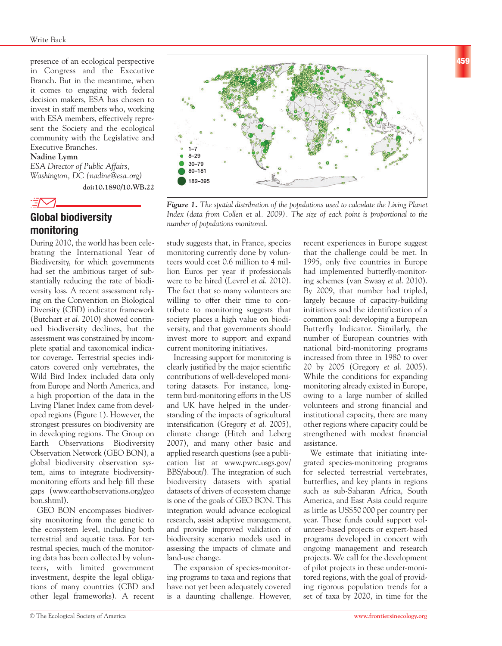presence of an ecological perspective in Congress and the Executive Branch. But in the meantime, when it comes to engaging with federal decision makers, ESA has chosen to invest in staff members who, working with ESA members, effectively represent the Society and the ecological community with the Legislative and Executive Branches.

#### **Nadine Lymn**

*ESA Director of Public Affairs, Washington, DC (nadine@esa.org)* 

**doi:10.1890/10.WB.22**



# **Global biodiversity monitoring**

During 2010, the world has been celebrating the International Year of Biodiversity, for which governments had set the ambitious target of substantially reducing the rate of biodiversity loss. A recent assessment relying on the Convention on Biological Diversity (CBD) indicator framework (Butchart *et al*. 2010) showed continued biodiversity declines, but the assessment was constrained by incomplete spatial and taxonomical indicator coverage. Terrestrial species indicators covered only vertebrates, the Wild Bird Index included data only from Europe and North America, and a high proportion of the data in the Living Planet Index came from developed regions (Figure 1). However, the strongest pressures on biodiversity are in developing regions. The Group on Earth Observations Biodiversity Observation Network (GEO BON), a global biodiversity observation system, aims to integrate biodiversitymonitoring efforts and help fill these gaps (www.earthobservations.org/geo bon.shtml).

GEO BON encompasses biodiversity monitoring from the genetic to the ecosystem level, including both terrestrial and aquatic taxa. For terrestrial species, much of the monitoring data has been collected by volunteers, with limited government investment, despite the legal obligations of many countries (CBD and other legal frameworks). A recent



*Figure 1. The spatial distribution of the populations used to calculate the Living Planet Index (data from Collen* et al*. 2009). The size of each point is proportional to the number of populations monitored.* 

### study suggests that, in France, species monitoring currently done by volunteers would cost 0.6 million to 4 million Euros per year if professionals were to be hired (Levrel *et al*. 2010). The fact that so many volunteers are willing to offer their time to contribute to monitoring suggests that society places a high value on biodiversity, and that governments should

current monitoring initiatives. Increasing support for monitoring is clearly justified by the major scientific contributions of well-developed monitoring datasets. For instance, longterm bird-monitoring efforts in the US and UK have helped in the understanding of the impacts of agricultural intensification (Gregory *et al*. 2005), climate change (Hitch and Leberg 2007), and many other basic and applied research questions (see a publication list at www.pwrc.usgs.gov/ BBS/about/). The integration of such biodiversity datasets with spatial datasets of drivers of ecosystem change is one of the goals of GEO BON. This integration would advance ecological research, assist adaptive management, and provide improved validation of biodiversity scenario models used in assessing the impacts of climate and land-use change.

invest more to support and expand

The expansion of species-monitoring programs to taxa and regions that have not yet been adequately covered is a daunting challenge. However, recent experiences in Europe suggest that the challenge could be met. In 1995, only five countries in Europe had implemented butterfly-monitoring schemes (van Swaay *et al*. 2010). By 2009, that number had tripled, largely because of capacity-building initiatives and the identification of a common goal: developing a European Butterfly Indicator. Similarly, the number of European countries with national bird-monitoring programs increased from three in 1980 to over 20 by 2005 (Gregory *et al*. 2005). While the conditions for expanding monitoring already existed in Europe, owing to a large number of skilled volunteers and strong financial and institutional capacity, there are many other regions where capacity could be strengthened with modest financial assistance.

We estimate that initiating integrated species-monitoring programs for selected terrestrial vertebrates, butterflies, and key plants in regions such as sub-Saharan Africa, South America, and East Asia could require as little as US\$50 000 per country per year. These funds could support volunteer-based projects or expert-based programs developed in concert with ongoing management and research projects. We call for the development of pilot projects in these under-monitored regions, with the goal of providing rigorous population trends for a set of taxa by 2020, in time for the **459**